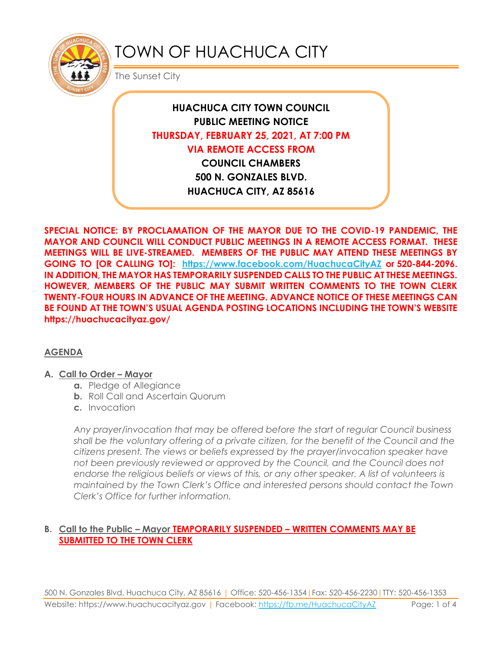

# TOWN OF HUACHUCA CITY

The Sunset City

**HUACHUCA CITY TOWN COUNCIL PUBLIC MEETING NOTICE THURSDAY, FEBRUARY 25, 2021, AT 7:00 PM VIA REMOTE ACCESS FROM COUNCIL CHAMBERS 500 N. GONZALES BLVD. HUACHUCA CITY, AZ 85616**

**SPECIAL NOTICE: BY PROCLAMATION OF THE MAYOR DUE TO THE COVID-19 PANDEMIC, THE MAYOR AND COUNCIL WILL CONDUCT PUBLIC MEETINGS IN A REMOTE ACCESS FORMAT. THESE MEETINGS WILL BE LIVE-STREAMED. MEMBERS OF THE PUBLIC MAY ATTEND THESE MEETINGS BY GOING TO [OR CALLING TO]: <https://www.facebook.com/HuachucaCityAZ> or 520-844-2096. IN ADDITION, THE MAYOR HAS TEMPORARILY SUSPENDED CALLS TO THE PUBLIC AT THESE MEETINGS. HOWEVER, MEMBERS OF THE PUBLIC MAY SUBMIT WRITTEN COMMENTS TO THE TOWN CLERK TWENTY-FOUR HOURS IN ADVANCE OF THE MEETING. ADVANCE NOTICE OF THESE MEETINGS CAN BE FOUND AT THE TOWN'S USUAL AGENDA POSTING LOCATIONS INCLUDING THE TOWN'S WEBSITE https://huachucacityaz.gov/**

#### **AGENDA**

#### **A. Call to Order – Mayor**

- **a.** Pledge of Allegiance
- **b.** Roll Call and Ascertain Quorum
- **c.** Invocation

*Any prayer/invocation that may be offered before the start of regular Council business shall be the voluntary offering of a private citizen, for the benefit of the Council and the citizens present. The views or beliefs expressed by the prayer/invocation speaker have not been previously reviewed or approved by the Council, and the Council does not endorse the religious beliefs or views of this, or any other speaker. A list of volunteers is maintained by the Town Clerk's Office and interested persons should contact the Town Clerk's Office for further information.*

#### **B. Call to the Public – Mayor TEMPORARILY SUSPENDED – WRITTEN COMMENTS MAY BE SUBMITTED TO THE TOWN CLERK**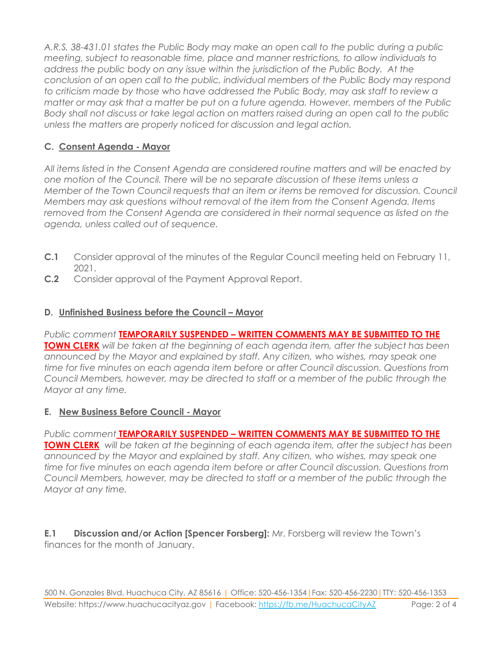*A.R.S. 38-431.01 states the Public Body may make an open call to the public during a public meeting, subject to reasonable time, place and manner restrictions, to allow individuals to address the public body on any issue within the jurisdiction of the Public Body. At the conclusion of an open call to the public, individual members of the Public Body may respond to criticism made by those who have addressed the Public Body, may ask staff to review a matter or may ask that a matter be put on a future agenda. However, members of the Public Body shall not discuss or take legal action on matters raised during an open call to the public unless the matters are properly noticed for discussion and legal action.*

## **C. Consent Agenda - Mayor**

*All items listed in the Consent Agenda are considered routine matters and will be enacted by one motion of the Council. There will be no separate discussion of these items unless a Member of the Town Council requests that an item or items be removed for discussion. Council Members may ask questions without removal of the item from the Consent Agenda. Items removed from the Consent Agenda are considered in their normal sequence as listed on the agenda, unless called out of sequence.*

- **C.1** Consider approval of the minutes of the Regular Council meeting held on February 11, 2021.
- **C.2** Consider approval of the Payment Approval Report.

## **D.** Unfinished Business before the Council – Mayor

*Public comment* **TEMPORARILY SUSPENDED – WRITTEN COMMENTS MAY BE SUBMITTED TO THE TOWN CLERK** *will be taken at the beginning of each agenda item, after the subject has been announced by the Mayor and explained by staff. Any citizen, who wishes, may speak one time for five minutes on each agenda item before or after Council discussion. Questions from Council Members, however, may be directed to staff or a member of the public through the Mayor at any time.*

### **E. New Business Before Council - Mayor**

*Public comment* **TEMPORARILY SUSPENDED – WRITTEN COMMENTS MAY BE SUBMITTED TO THE TOWN CLERK** *will be taken at the beginning of each agenda item, after the subject has been announced by the Mayor and explained by staff. Any citizen, who wishes, may speak one time for five minutes on each agenda item before or after Council discussion. Questions from Council Members, however, may be directed to staff or a member of the public through the Mayor at any time.* 

**E.1 Discussion and/or Action [Spencer Forsberg]:** Mr. Forsberg will review the Town's finances for the month of January.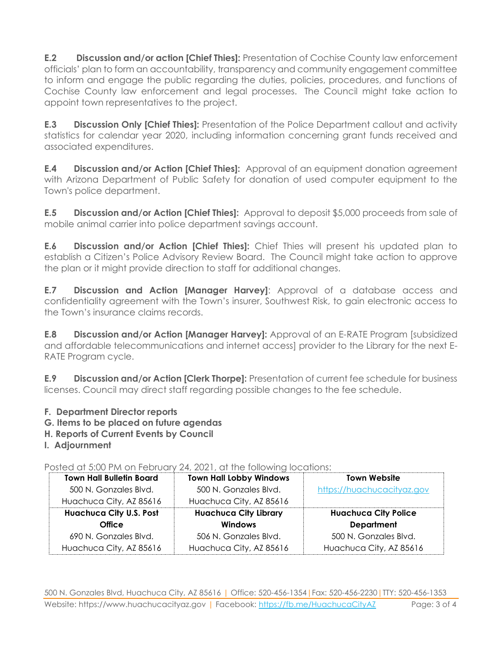**E.2 Discussion and/or action [Chief Thies]:** Presentation of Cochise County law enforcement officials' plan to form an accountability, transparency and community engagement committee to inform and engage the public regarding the duties, policies, procedures, and functions of Cochise County law enforcement and legal processes. The Council might take action to appoint town representatives to the project.

**E.3 Discussion Only [Chief Thies]:** Presentation of the Police Department callout and activity statistics for calendar year 2020, including information concerning grant funds received and associated expenditures.

**E.4 Discussion and/or Action [Chief Thies]:** Approval of an equipment donation agreement with Arizona Department of Public Safety for donation of used computer equipment to the Town's police department.

**E.5 Discussion and/or Action [Chief Thies]:** Approval to deposit \$5,000 proceeds from sale of mobile animal carrier into police department savings account.

**E.6 Discussion and/or Action [Chief Thies]:** Chief Thies will present his updated plan to establish a Citizen's Police Advisory Review Board. The Council might take action to approve the plan or it might provide direction to staff for additional changes.

**E.7 Discussion and Action [Manager Harvey]**: Approval of a database access and confidentiality agreement with the Town's insurer, Southwest Risk, to gain electronic access to the Town's insurance claims records.

**E.8 Discussion and/or Action [Manager Harvey]:** Approval of an E-RATE Program [subsidized and affordable telecommunications and internet access] provider to the Library for the next E-RATE Program cycle.

**E.9 Discussion and/or Action [Clerk Thorpe]:** Presentation of current fee schedule for business licenses. Council may direct staff regarding possible changes to the fee schedule.

- **F. Department Director reports**
- **G. Items to be placed on future agendas**
- **H. Reports of Current Events by Council**
- **I. Adjournment**

Posted at 5:00 PM on February 24, 2021, at the following locations:

|                                 | $\sim$ 17 $\sim$ 0.1 $\sim$ 10 $\sim$ 10 $\sim$ 10 $\sim$ 11 $\sim$ 11 $\sim$ 11 $\sim$ 11 $\sim$ 11 $\sim$ 11 $\sim$ 11 $\sim$ 1 |                             |
|---------------------------------|-----------------------------------------------------------------------------------------------------------------------------------|-----------------------------|
| <b>Town Hall Bulletin Board</b> | <b>Town Hall Lobby Windows</b>                                                                                                    | <b>Town Website</b>         |
| 500 N. Gonzales Blvd.           | 500 N. Gonzales Blvd.                                                                                                             | https://huachucacityaz.gov  |
| Huachuca City, AZ 85616         | Huachuca City, AZ 85616                                                                                                           |                             |
| <b>Huachuca City U.S. Post</b>  | <b>Huachuca City Library</b>                                                                                                      | <b>Huachuca City Police</b> |
| <b>Office</b>                   | <b>Windows</b>                                                                                                                    | <b>Department</b>           |
| 690 N. Gonzales Blvd.           | 506 N. Gonzales Blvd.                                                                                                             | 500 N. Gonzales Blvd.       |
| Huachuca City, AZ 85616         | Huachuca City, AZ 85616                                                                                                           | Huachuca City, AZ 85616     |